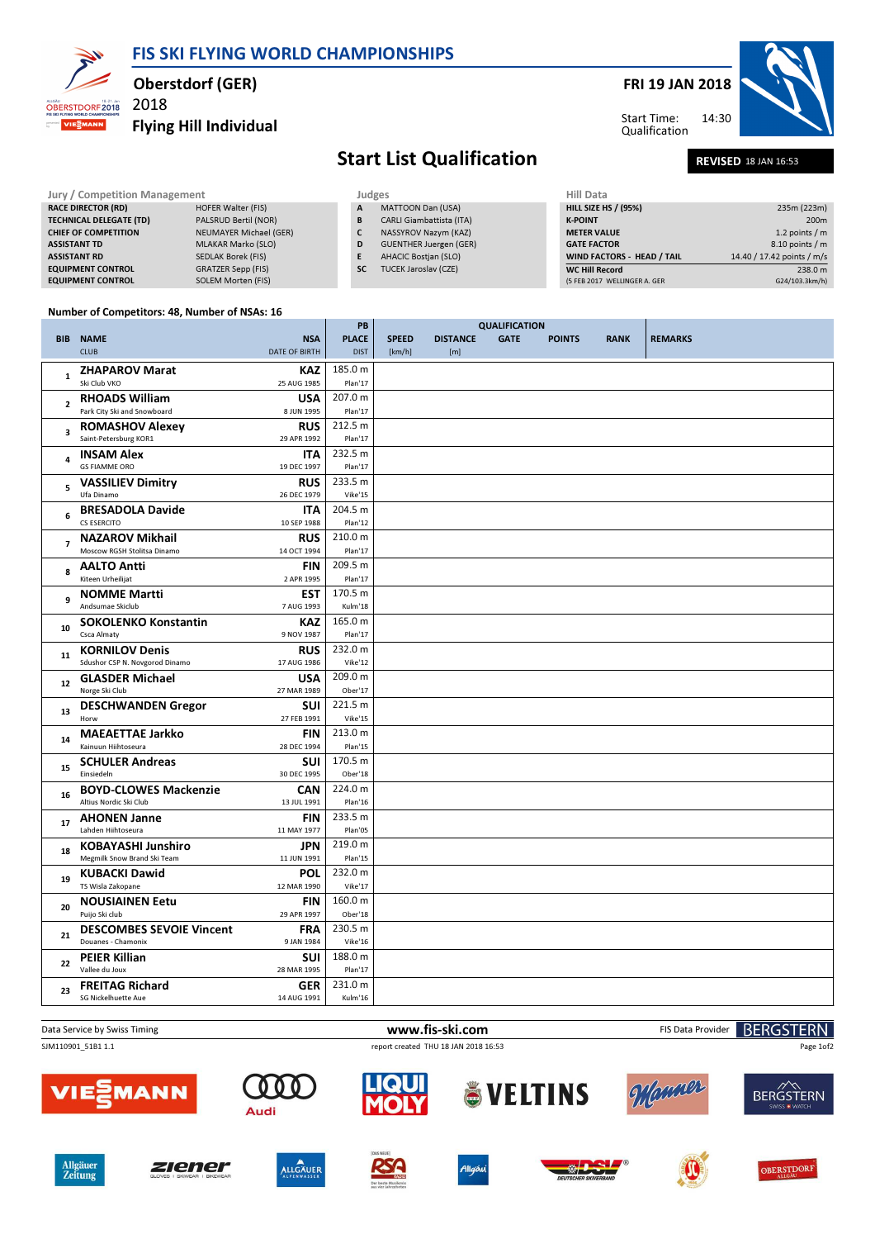FRI 19 JAN 2018





 $\overline{\phantom{a}}$ 

# Flying Hill Individual Start List Qualification REVISED 18 JAN 16:53

Oberstdorf (GER)

FIS SKI FLYING WORLD CHAMPIONSHIPS

| Jury / Competition Management  |                           | Judges    |                                 |  | Hill Data                    |                            |  |
|--------------------------------|---------------------------|-----------|---------------------------------|--|------------------------------|----------------------------|--|
| <b>RACE DIRECTOR (RD)</b>      | <b>HOFER Walter (FIS)</b> | A         | MATTOON Dan (USA)               |  | <b>HILL SIZE HS / (95%)</b>  | 235m (223m)                |  |
| <b>TECHNICAL DELEGATE (TD)</b> | PALSRUD Bertil (NOR)      | B         | <b>CARLI Giambattista (ITA)</b> |  | <b>K-POINT</b>               | 200 <sub>m</sub>           |  |
| <b>CHIEF OF COMPETITION</b>    | NEUMAYER Michael (GER)    |           | NASSYROV Nazym (KAZ)            |  | <b>METER VALUE</b>           | 1.2 points / m             |  |
| <b>ASSISTANT TD</b>            | MLAKAR Marko (SLO)        | D         | <b>GUENTHER Juergen (GER)</b>   |  | <b>GATE FACTOR</b>           | 8.10 points / m            |  |
| <b>ASSISTANT RD</b>            | SEDLAK Borek (FIS)        | Е         | <b>AHACIC Bostjan (SLO)</b>     |  | WIND FACTORS - HEAD / TAIL   | 14.40 / 17.42 points / m/s |  |
| <b>EQUIPMENT CONTROL</b>       | <b>GRATZER Sepp (FIS)</b> | <b>SC</b> | <b>TUCEK Jaroslav (CZE)</b>     |  | <b>WC Hill Record</b>        | 238.0 m                    |  |
| <b>EQUIPMENT CONTROL</b>       | SOLEM Morten (FIS)        |           |                                 |  | (5 FEB 2017 WELLINGER A. GER | G24/103.3km/h)             |  |

### Number of Competitors: 48, Number of NSAs: 16

2018

OBERSTDORF 2018

| <b>PLACE</b><br><b>BIB NAME</b><br><b>SPEED</b><br><b>DISTANCE</b><br><b>GATE</b><br><b>REMARKS</b><br><b>NSA</b><br><b>POINTS</b><br><b>RANK</b><br><b>CLUB</b><br><b>DATE OF BIRTH</b><br><b>DIST</b><br>[km/h]<br>[m]<br>185.0 m<br><b>ZHAPAROV Marat</b><br><b>KAZ</b><br>$\mathbf{1}$<br>Ski Club VKO<br>25 AUG 1985<br>Plan'17<br>207.0 m<br><b>RHOADS William</b><br><b>USA</b><br>$\overline{2}$<br>Park City Ski and Snowboard<br>Plan'17<br>8 JUN 1995<br>212.5 m<br><b>ROMASHOV Alexey</b><br><b>RUS</b><br>$\overline{\mathbf{3}}$<br>Saint-Petersburg KOR1<br>29 APR 1992<br>Plan'17<br>232.5 m<br><b>INSAM Alex</b><br><b>ITA</b><br>$\overline{\mathbf{4}}$<br><b>GS FIAMME ORO</b><br>19 DEC 1997<br>Plan'17<br>233.5 m<br><b>VASSILIEV Dimitry</b><br><b>RUS</b><br>5<br>Ufa Dinamo<br>26 DEC 1979<br>Vike'15<br>204.5 m<br><b>BRESADOLA Davide</b><br><b>ITA</b><br>6<br>CS ESERCITO<br>Plan'12<br>10 SEP 1988<br>210.0 m<br><b>NAZAROV Mikhail</b><br><b>RUS</b><br>$\overline{7}$<br>Moscow RGSH Stolitsa Dinamo<br>Plan'17<br>14 OCT 1994<br>209.5 m<br><b>AALTO Antti</b><br><b>FIN</b><br>8<br>Kiteen Urheilijat<br>2 APR 1995<br>Plan'17<br>170.5 m<br><b>EST</b><br><b>NOMME Martti</b><br>9<br>Andsumae Skiclub<br>7 AUG 1993<br>Kulm'18<br>165.0 m<br><b>SOKOLENKO Konstantin</b><br><b>KAZ</b><br>10<br>Csca Almaty<br>9 NOV 1987<br>Plan'17<br>232.0 m<br><b>KORNILOV Denis</b><br><b>RUS</b><br>11<br>Sdushor CSP N. Novgorod Dinamo<br>Vike'12<br>17 AUG 1986<br>209.0 m<br><b>GLASDER Michael</b><br><b>USA</b><br>12<br>Norge Ski Club<br>Ober'17<br>27 MAR 1989<br><b>DESCHWANDEN Gregor</b><br>221.5 m<br><b>SUI</b><br>13<br>Vike'15<br>Horw<br>27 FEB 1991<br>213.0 m<br><b>MAEAETTAE Jarkko</b><br><b>FIN</b><br>14<br>Kainuun Hiihtoseura<br>Plan'15<br>28 DEC 1994<br>170.5 m<br><b>SCHULER Andreas</b><br><b>SUI</b><br>15<br>Einsiedeln<br>30 DEC 1995<br>Ober'18<br>224.0 m<br><b>BOYD-CLOWES Mackenzie</b><br><b>CAN</b><br>16<br>Altius Nordic Ski Club<br>13 JUL 1991<br>Plan'16<br>233.5 m<br><b>AHONEN Janne</b><br><b>FIN</b><br>17<br>Lahden Hiihtoseura<br>11 MAY 1977<br>Plan'05<br>219.0 m<br><b>KOBAYASHI Junshiro</b><br><b>JPN</b><br>18<br>Megmilk Snow Brand Ski Team<br>11 JUN 1991<br>Plan'15<br>232.0 m<br><b>KUBACKI Dawid</b><br><b>POL</b><br>19<br>TS Wisla Zakopane<br>12 MAR 1990<br>Vike'17<br>160.0 m<br><b>NOUSIAINEN Eetu</b><br><b>FIN</b><br>20<br>Puijo Ski club<br>29 APR 1997<br>Ober'18<br>230.5 m<br><b>DESCOMBES SEVOIE Vincent</b><br><b>FRA</b><br>21<br>Douanes - Chamonix<br>9 JAN 1984<br>Vike'16<br>188.0 m<br><b>PEIER Killian</b><br><b>SUI</b><br>22<br>Vallee du Joux<br>28 MAR 1995<br>Plan'17<br>231.0 m<br><b>GER</b><br><b>FREITAG Richard</b><br>23<br><b>SG Nickelhuette Aue</b><br>14 AUG 1991<br>Kulm'16 |  | PB | <b>QUALIFICATION</b> |  |  |  |
|-----------------------------------------------------------------------------------------------------------------------------------------------------------------------------------------------------------------------------------------------------------------------------------------------------------------------------------------------------------------------------------------------------------------------------------------------------------------------------------------------------------------------------------------------------------------------------------------------------------------------------------------------------------------------------------------------------------------------------------------------------------------------------------------------------------------------------------------------------------------------------------------------------------------------------------------------------------------------------------------------------------------------------------------------------------------------------------------------------------------------------------------------------------------------------------------------------------------------------------------------------------------------------------------------------------------------------------------------------------------------------------------------------------------------------------------------------------------------------------------------------------------------------------------------------------------------------------------------------------------------------------------------------------------------------------------------------------------------------------------------------------------------------------------------------------------------------------------------------------------------------------------------------------------------------------------------------------------------------------------------------------------------------------------------------------------------------------------------------------------------------------------------------------------------------------------------------------------------------------------------------------------------------------------------------------------------------------------------------------------------------------------------------------------------------------------------------------------------------------------------------------------------------------------------------------------------------------------------------------------------------------------------------------------------------------------------------------------------------------------------------------------------------------------------------------|--|----|----------------------|--|--|--|
|                                                                                                                                                                                                                                                                                                                                                                                                                                                                                                                                                                                                                                                                                                                                                                                                                                                                                                                                                                                                                                                                                                                                                                                                                                                                                                                                                                                                                                                                                                                                                                                                                                                                                                                                                                                                                                                                                                                                                                                                                                                                                                                                                                                                                                                                                                                                                                                                                                                                                                                                                                                                                                                                                                                                                                                                           |  |    |                      |  |  |  |
|                                                                                                                                                                                                                                                                                                                                                                                                                                                                                                                                                                                                                                                                                                                                                                                                                                                                                                                                                                                                                                                                                                                                                                                                                                                                                                                                                                                                                                                                                                                                                                                                                                                                                                                                                                                                                                                                                                                                                                                                                                                                                                                                                                                                                                                                                                                                                                                                                                                                                                                                                                                                                                                                                                                                                                                                           |  |    |                      |  |  |  |
|                                                                                                                                                                                                                                                                                                                                                                                                                                                                                                                                                                                                                                                                                                                                                                                                                                                                                                                                                                                                                                                                                                                                                                                                                                                                                                                                                                                                                                                                                                                                                                                                                                                                                                                                                                                                                                                                                                                                                                                                                                                                                                                                                                                                                                                                                                                                                                                                                                                                                                                                                                                                                                                                                                                                                                                                           |  |    |                      |  |  |  |
|                                                                                                                                                                                                                                                                                                                                                                                                                                                                                                                                                                                                                                                                                                                                                                                                                                                                                                                                                                                                                                                                                                                                                                                                                                                                                                                                                                                                                                                                                                                                                                                                                                                                                                                                                                                                                                                                                                                                                                                                                                                                                                                                                                                                                                                                                                                                                                                                                                                                                                                                                                                                                                                                                                                                                                                                           |  |    |                      |  |  |  |
|                                                                                                                                                                                                                                                                                                                                                                                                                                                                                                                                                                                                                                                                                                                                                                                                                                                                                                                                                                                                                                                                                                                                                                                                                                                                                                                                                                                                                                                                                                                                                                                                                                                                                                                                                                                                                                                                                                                                                                                                                                                                                                                                                                                                                                                                                                                                                                                                                                                                                                                                                                                                                                                                                                                                                                                                           |  |    |                      |  |  |  |
|                                                                                                                                                                                                                                                                                                                                                                                                                                                                                                                                                                                                                                                                                                                                                                                                                                                                                                                                                                                                                                                                                                                                                                                                                                                                                                                                                                                                                                                                                                                                                                                                                                                                                                                                                                                                                                                                                                                                                                                                                                                                                                                                                                                                                                                                                                                                                                                                                                                                                                                                                                                                                                                                                                                                                                                                           |  |    |                      |  |  |  |
|                                                                                                                                                                                                                                                                                                                                                                                                                                                                                                                                                                                                                                                                                                                                                                                                                                                                                                                                                                                                                                                                                                                                                                                                                                                                                                                                                                                                                                                                                                                                                                                                                                                                                                                                                                                                                                                                                                                                                                                                                                                                                                                                                                                                                                                                                                                                                                                                                                                                                                                                                                                                                                                                                                                                                                                                           |  |    |                      |  |  |  |
|                                                                                                                                                                                                                                                                                                                                                                                                                                                                                                                                                                                                                                                                                                                                                                                                                                                                                                                                                                                                                                                                                                                                                                                                                                                                                                                                                                                                                                                                                                                                                                                                                                                                                                                                                                                                                                                                                                                                                                                                                                                                                                                                                                                                                                                                                                                                                                                                                                                                                                                                                                                                                                                                                                                                                                                                           |  |    |                      |  |  |  |
|                                                                                                                                                                                                                                                                                                                                                                                                                                                                                                                                                                                                                                                                                                                                                                                                                                                                                                                                                                                                                                                                                                                                                                                                                                                                                                                                                                                                                                                                                                                                                                                                                                                                                                                                                                                                                                                                                                                                                                                                                                                                                                                                                                                                                                                                                                                                                                                                                                                                                                                                                                                                                                                                                                                                                                                                           |  |    |                      |  |  |  |
|                                                                                                                                                                                                                                                                                                                                                                                                                                                                                                                                                                                                                                                                                                                                                                                                                                                                                                                                                                                                                                                                                                                                                                                                                                                                                                                                                                                                                                                                                                                                                                                                                                                                                                                                                                                                                                                                                                                                                                                                                                                                                                                                                                                                                                                                                                                                                                                                                                                                                                                                                                                                                                                                                                                                                                                                           |  |    |                      |  |  |  |
|                                                                                                                                                                                                                                                                                                                                                                                                                                                                                                                                                                                                                                                                                                                                                                                                                                                                                                                                                                                                                                                                                                                                                                                                                                                                                                                                                                                                                                                                                                                                                                                                                                                                                                                                                                                                                                                                                                                                                                                                                                                                                                                                                                                                                                                                                                                                                                                                                                                                                                                                                                                                                                                                                                                                                                                                           |  |    |                      |  |  |  |
|                                                                                                                                                                                                                                                                                                                                                                                                                                                                                                                                                                                                                                                                                                                                                                                                                                                                                                                                                                                                                                                                                                                                                                                                                                                                                                                                                                                                                                                                                                                                                                                                                                                                                                                                                                                                                                                                                                                                                                                                                                                                                                                                                                                                                                                                                                                                                                                                                                                                                                                                                                                                                                                                                                                                                                                                           |  |    |                      |  |  |  |
|                                                                                                                                                                                                                                                                                                                                                                                                                                                                                                                                                                                                                                                                                                                                                                                                                                                                                                                                                                                                                                                                                                                                                                                                                                                                                                                                                                                                                                                                                                                                                                                                                                                                                                                                                                                                                                                                                                                                                                                                                                                                                                                                                                                                                                                                                                                                                                                                                                                                                                                                                                                                                                                                                                                                                                                                           |  |    |                      |  |  |  |
|                                                                                                                                                                                                                                                                                                                                                                                                                                                                                                                                                                                                                                                                                                                                                                                                                                                                                                                                                                                                                                                                                                                                                                                                                                                                                                                                                                                                                                                                                                                                                                                                                                                                                                                                                                                                                                                                                                                                                                                                                                                                                                                                                                                                                                                                                                                                                                                                                                                                                                                                                                                                                                                                                                                                                                                                           |  |    |                      |  |  |  |
|                                                                                                                                                                                                                                                                                                                                                                                                                                                                                                                                                                                                                                                                                                                                                                                                                                                                                                                                                                                                                                                                                                                                                                                                                                                                                                                                                                                                                                                                                                                                                                                                                                                                                                                                                                                                                                                                                                                                                                                                                                                                                                                                                                                                                                                                                                                                                                                                                                                                                                                                                                                                                                                                                                                                                                                                           |  |    |                      |  |  |  |
|                                                                                                                                                                                                                                                                                                                                                                                                                                                                                                                                                                                                                                                                                                                                                                                                                                                                                                                                                                                                                                                                                                                                                                                                                                                                                                                                                                                                                                                                                                                                                                                                                                                                                                                                                                                                                                                                                                                                                                                                                                                                                                                                                                                                                                                                                                                                                                                                                                                                                                                                                                                                                                                                                                                                                                                                           |  |    |                      |  |  |  |
|                                                                                                                                                                                                                                                                                                                                                                                                                                                                                                                                                                                                                                                                                                                                                                                                                                                                                                                                                                                                                                                                                                                                                                                                                                                                                                                                                                                                                                                                                                                                                                                                                                                                                                                                                                                                                                                                                                                                                                                                                                                                                                                                                                                                                                                                                                                                                                                                                                                                                                                                                                                                                                                                                                                                                                                                           |  |    |                      |  |  |  |
|                                                                                                                                                                                                                                                                                                                                                                                                                                                                                                                                                                                                                                                                                                                                                                                                                                                                                                                                                                                                                                                                                                                                                                                                                                                                                                                                                                                                                                                                                                                                                                                                                                                                                                                                                                                                                                                                                                                                                                                                                                                                                                                                                                                                                                                                                                                                                                                                                                                                                                                                                                                                                                                                                                                                                                                                           |  |    |                      |  |  |  |
|                                                                                                                                                                                                                                                                                                                                                                                                                                                                                                                                                                                                                                                                                                                                                                                                                                                                                                                                                                                                                                                                                                                                                                                                                                                                                                                                                                                                                                                                                                                                                                                                                                                                                                                                                                                                                                                                                                                                                                                                                                                                                                                                                                                                                                                                                                                                                                                                                                                                                                                                                                                                                                                                                                                                                                                                           |  |    |                      |  |  |  |
|                                                                                                                                                                                                                                                                                                                                                                                                                                                                                                                                                                                                                                                                                                                                                                                                                                                                                                                                                                                                                                                                                                                                                                                                                                                                                                                                                                                                                                                                                                                                                                                                                                                                                                                                                                                                                                                                                                                                                                                                                                                                                                                                                                                                                                                                                                                                                                                                                                                                                                                                                                                                                                                                                                                                                                                                           |  |    |                      |  |  |  |
|                                                                                                                                                                                                                                                                                                                                                                                                                                                                                                                                                                                                                                                                                                                                                                                                                                                                                                                                                                                                                                                                                                                                                                                                                                                                                                                                                                                                                                                                                                                                                                                                                                                                                                                                                                                                                                                                                                                                                                                                                                                                                                                                                                                                                                                                                                                                                                                                                                                                                                                                                                                                                                                                                                                                                                                                           |  |    |                      |  |  |  |
|                                                                                                                                                                                                                                                                                                                                                                                                                                                                                                                                                                                                                                                                                                                                                                                                                                                                                                                                                                                                                                                                                                                                                                                                                                                                                                                                                                                                                                                                                                                                                                                                                                                                                                                                                                                                                                                                                                                                                                                                                                                                                                                                                                                                                                                                                                                                                                                                                                                                                                                                                                                                                                                                                                                                                                                                           |  |    |                      |  |  |  |
|                                                                                                                                                                                                                                                                                                                                                                                                                                                                                                                                                                                                                                                                                                                                                                                                                                                                                                                                                                                                                                                                                                                                                                                                                                                                                                                                                                                                                                                                                                                                                                                                                                                                                                                                                                                                                                                                                                                                                                                                                                                                                                                                                                                                                                                                                                                                                                                                                                                                                                                                                                                                                                                                                                                                                                                                           |  |    |                      |  |  |  |
|                                                                                                                                                                                                                                                                                                                                                                                                                                                                                                                                                                                                                                                                                                                                                                                                                                                                                                                                                                                                                                                                                                                                                                                                                                                                                                                                                                                                                                                                                                                                                                                                                                                                                                                                                                                                                                                                                                                                                                                                                                                                                                                                                                                                                                                                                                                                                                                                                                                                                                                                                                                                                                                                                                                                                                                                           |  |    |                      |  |  |  |
|                                                                                                                                                                                                                                                                                                                                                                                                                                                                                                                                                                                                                                                                                                                                                                                                                                                                                                                                                                                                                                                                                                                                                                                                                                                                                                                                                                                                                                                                                                                                                                                                                                                                                                                                                                                                                                                                                                                                                                                                                                                                                                                                                                                                                                                                                                                                                                                                                                                                                                                                                                                                                                                                                                                                                                                                           |  |    |                      |  |  |  |
|                                                                                                                                                                                                                                                                                                                                                                                                                                                                                                                                                                                                                                                                                                                                                                                                                                                                                                                                                                                                                                                                                                                                                                                                                                                                                                                                                                                                                                                                                                                                                                                                                                                                                                                                                                                                                                                                                                                                                                                                                                                                                                                                                                                                                                                                                                                                                                                                                                                                                                                                                                                                                                                                                                                                                                                                           |  |    |                      |  |  |  |
|                                                                                                                                                                                                                                                                                                                                                                                                                                                                                                                                                                                                                                                                                                                                                                                                                                                                                                                                                                                                                                                                                                                                                                                                                                                                                                                                                                                                                                                                                                                                                                                                                                                                                                                                                                                                                                                                                                                                                                                                                                                                                                                                                                                                                                                                                                                                                                                                                                                                                                                                                                                                                                                                                                                                                                                                           |  |    |                      |  |  |  |
|                                                                                                                                                                                                                                                                                                                                                                                                                                                                                                                                                                                                                                                                                                                                                                                                                                                                                                                                                                                                                                                                                                                                                                                                                                                                                                                                                                                                                                                                                                                                                                                                                                                                                                                                                                                                                                                                                                                                                                                                                                                                                                                                                                                                                                                                                                                                                                                                                                                                                                                                                                                                                                                                                                                                                                                                           |  |    |                      |  |  |  |
|                                                                                                                                                                                                                                                                                                                                                                                                                                                                                                                                                                                                                                                                                                                                                                                                                                                                                                                                                                                                                                                                                                                                                                                                                                                                                                                                                                                                                                                                                                                                                                                                                                                                                                                                                                                                                                                                                                                                                                                                                                                                                                                                                                                                                                                                                                                                                                                                                                                                                                                                                                                                                                                                                                                                                                                                           |  |    |                      |  |  |  |
|                                                                                                                                                                                                                                                                                                                                                                                                                                                                                                                                                                                                                                                                                                                                                                                                                                                                                                                                                                                                                                                                                                                                                                                                                                                                                                                                                                                                                                                                                                                                                                                                                                                                                                                                                                                                                                                                                                                                                                                                                                                                                                                                                                                                                                                                                                                                                                                                                                                                                                                                                                                                                                                                                                                                                                                                           |  |    |                      |  |  |  |
|                                                                                                                                                                                                                                                                                                                                                                                                                                                                                                                                                                                                                                                                                                                                                                                                                                                                                                                                                                                                                                                                                                                                                                                                                                                                                                                                                                                                                                                                                                                                                                                                                                                                                                                                                                                                                                                                                                                                                                                                                                                                                                                                                                                                                                                                                                                                                                                                                                                                                                                                                                                                                                                                                                                                                                                                           |  |    |                      |  |  |  |
|                                                                                                                                                                                                                                                                                                                                                                                                                                                                                                                                                                                                                                                                                                                                                                                                                                                                                                                                                                                                                                                                                                                                                                                                                                                                                                                                                                                                                                                                                                                                                                                                                                                                                                                                                                                                                                                                                                                                                                                                                                                                                                                                                                                                                                                                                                                                                                                                                                                                                                                                                                                                                                                                                                                                                                                                           |  |    |                      |  |  |  |
|                                                                                                                                                                                                                                                                                                                                                                                                                                                                                                                                                                                                                                                                                                                                                                                                                                                                                                                                                                                                                                                                                                                                                                                                                                                                                                                                                                                                                                                                                                                                                                                                                                                                                                                                                                                                                                                                                                                                                                                                                                                                                                                                                                                                                                                                                                                                                                                                                                                                                                                                                                                                                                                                                                                                                                                                           |  |    |                      |  |  |  |
|                                                                                                                                                                                                                                                                                                                                                                                                                                                                                                                                                                                                                                                                                                                                                                                                                                                                                                                                                                                                                                                                                                                                                                                                                                                                                                                                                                                                                                                                                                                                                                                                                                                                                                                                                                                                                                                                                                                                                                                                                                                                                                                                                                                                                                                                                                                                                                                                                                                                                                                                                                                                                                                                                                                                                                                                           |  |    |                      |  |  |  |
|                                                                                                                                                                                                                                                                                                                                                                                                                                                                                                                                                                                                                                                                                                                                                                                                                                                                                                                                                                                                                                                                                                                                                                                                                                                                                                                                                                                                                                                                                                                                                                                                                                                                                                                                                                                                                                                                                                                                                                                                                                                                                                                                                                                                                                                                                                                                                                                                                                                                                                                                                                                                                                                                                                                                                                                                           |  |    |                      |  |  |  |
|                                                                                                                                                                                                                                                                                                                                                                                                                                                                                                                                                                                                                                                                                                                                                                                                                                                                                                                                                                                                                                                                                                                                                                                                                                                                                                                                                                                                                                                                                                                                                                                                                                                                                                                                                                                                                                                                                                                                                                                                                                                                                                                                                                                                                                                                                                                                                                                                                                                                                                                                                                                                                                                                                                                                                                                                           |  |    |                      |  |  |  |
|                                                                                                                                                                                                                                                                                                                                                                                                                                                                                                                                                                                                                                                                                                                                                                                                                                                                                                                                                                                                                                                                                                                                                                                                                                                                                                                                                                                                                                                                                                                                                                                                                                                                                                                                                                                                                                                                                                                                                                                                                                                                                                                                                                                                                                                                                                                                                                                                                                                                                                                                                                                                                                                                                                                                                                                                           |  |    |                      |  |  |  |
|                                                                                                                                                                                                                                                                                                                                                                                                                                                                                                                                                                                                                                                                                                                                                                                                                                                                                                                                                                                                                                                                                                                                                                                                                                                                                                                                                                                                                                                                                                                                                                                                                                                                                                                                                                                                                                                                                                                                                                                                                                                                                                                                                                                                                                                                                                                                                                                                                                                                                                                                                                                                                                                                                                                                                                                                           |  |    |                      |  |  |  |
|                                                                                                                                                                                                                                                                                                                                                                                                                                                                                                                                                                                                                                                                                                                                                                                                                                                                                                                                                                                                                                                                                                                                                                                                                                                                                                                                                                                                                                                                                                                                                                                                                                                                                                                                                                                                                                                                                                                                                                                                                                                                                                                                                                                                                                                                                                                                                                                                                                                                                                                                                                                                                                                                                                                                                                                                           |  |    |                      |  |  |  |
|                                                                                                                                                                                                                                                                                                                                                                                                                                                                                                                                                                                                                                                                                                                                                                                                                                                                                                                                                                                                                                                                                                                                                                                                                                                                                                                                                                                                                                                                                                                                                                                                                                                                                                                                                                                                                                                                                                                                                                                                                                                                                                                                                                                                                                                                                                                                                                                                                                                                                                                                                                                                                                                                                                                                                                                                           |  |    |                      |  |  |  |
|                                                                                                                                                                                                                                                                                                                                                                                                                                                                                                                                                                                                                                                                                                                                                                                                                                                                                                                                                                                                                                                                                                                                                                                                                                                                                                                                                                                                                                                                                                                                                                                                                                                                                                                                                                                                                                                                                                                                                                                                                                                                                                                                                                                                                                                                                                                                                                                                                                                                                                                                                                                                                                                                                                                                                                                                           |  |    |                      |  |  |  |
|                                                                                                                                                                                                                                                                                                                                                                                                                                                                                                                                                                                                                                                                                                                                                                                                                                                                                                                                                                                                                                                                                                                                                                                                                                                                                                                                                                                                                                                                                                                                                                                                                                                                                                                                                                                                                                                                                                                                                                                                                                                                                                                                                                                                                                                                                                                                                                                                                                                                                                                                                                                                                                                                                                                                                                                                           |  |    |                      |  |  |  |
|                                                                                                                                                                                                                                                                                                                                                                                                                                                                                                                                                                                                                                                                                                                                                                                                                                                                                                                                                                                                                                                                                                                                                                                                                                                                                                                                                                                                                                                                                                                                                                                                                                                                                                                                                                                                                                                                                                                                                                                                                                                                                                                                                                                                                                                                                                                                                                                                                                                                                                                                                                                                                                                                                                                                                                                                           |  |    |                      |  |  |  |
|                                                                                                                                                                                                                                                                                                                                                                                                                                                                                                                                                                                                                                                                                                                                                                                                                                                                                                                                                                                                                                                                                                                                                                                                                                                                                                                                                                                                                                                                                                                                                                                                                                                                                                                                                                                                                                                                                                                                                                                                                                                                                                                                                                                                                                                                                                                                                                                                                                                                                                                                                                                                                                                                                                                                                                                                           |  |    |                      |  |  |  |
|                                                                                                                                                                                                                                                                                                                                                                                                                                                                                                                                                                                                                                                                                                                                                                                                                                                                                                                                                                                                                                                                                                                                                                                                                                                                                                                                                                                                                                                                                                                                                                                                                                                                                                                                                                                                                                                                                                                                                                                                                                                                                                                                                                                                                                                                                                                                                                                                                                                                                                                                                                                                                                                                                                                                                                                                           |  |    |                      |  |  |  |
|                                                                                                                                                                                                                                                                                                                                                                                                                                                                                                                                                                                                                                                                                                                                                                                                                                                                                                                                                                                                                                                                                                                                                                                                                                                                                                                                                                                                                                                                                                                                                                                                                                                                                                                                                                                                                                                                                                                                                                                                                                                                                                                                                                                                                                                                                                                                                                                                                                                                                                                                                                                                                                                                                                                                                                                                           |  |    |                      |  |  |  |
|                                                                                                                                                                                                                                                                                                                                                                                                                                                                                                                                                                                                                                                                                                                                                                                                                                                                                                                                                                                                                                                                                                                                                                                                                                                                                                                                                                                                                                                                                                                                                                                                                                                                                                                                                                                                                                                                                                                                                                                                                                                                                                                                                                                                                                                                                                                                                                                                                                                                                                                                                                                                                                                                                                                                                                                                           |  |    |                      |  |  |  |
|                                                                                                                                                                                                                                                                                                                                                                                                                                                                                                                                                                                                                                                                                                                                                                                                                                                                                                                                                                                                                                                                                                                                                                                                                                                                                                                                                                                                                                                                                                                                                                                                                                                                                                                                                                                                                                                                                                                                                                                                                                                                                                                                                                                                                                                                                                                                                                                                                                                                                                                                                                                                                                                                                                                                                                                                           |  |    |                      |  |  |  |

Data Service by Swiss Timing **EXECUTE:** The Contract of the United Service by Swiss Timing **www.fis-ski.com** FIS Data Provider

SJM110901\_51B1 1.1 report created THU 18 JAN 2018 16:53













**BERGSTERN** 

Page 1of2